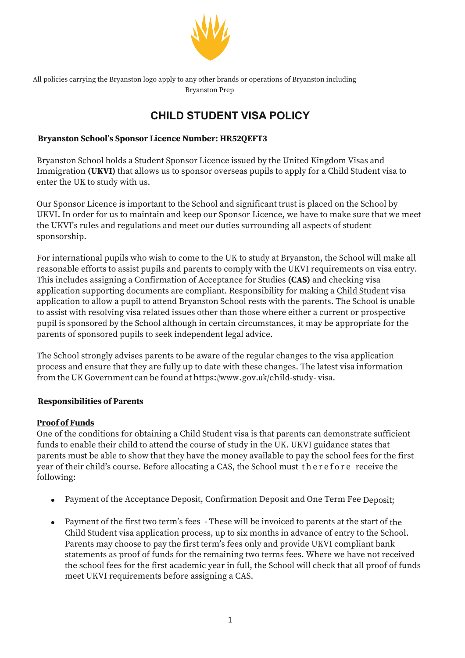

All policies carrying the Bryanston logo apply to any other brands or operations of Bryanston including Bryanston Prep

# **CHILD STUDENT VISA POLICY**

## **Bryanston School's Sponsor Licence Number: HR52QEFT3**

Bryanston School holds a Student Sponsor Licence issued by the United Kingdom Visas and Immigration **(UKVI)** that allows us to sponsor overseas pupils to apply for a Child Student visa to enter the UK to study with us.

Our Sponsor Licence is important to the School and significant trust is placed on the School by UKVI. In order for us to maintain and keep our Sponsor Licence, we have to make sure that we meet the UKVI's rules and regulations and meet our duties surrounding all aspects of student sponsorship.

For international pupils who wish to come to the UK to study at Bryanston, the School will make all reasonable efforts to assist pupils and parents to comply with the UKVI requirements on visa entry. This includes assigning a Confirmation of Acceptance for Studies **(CAS)** and checking visa application supporting documents are compliant. Responsibility for making a Child Student visa application to allow a pupil to attend Bryanston School rests with the parents. The School is unable to assist with resolving visa related issues other than those where either a current or prospective pupil is sponsored by the School although in certain circumstances, it may be appropriate for the parents of sponsored pupils to seek independent legal advice.

The School strongly advises parents to be aware of the regular changes to the visa application process and ensure that they are fully up to date with these changes. The latest visa information from the UK Government can be found at https://www.gov.uk/child-study- visa.

#### **Responsibilities of Parents**

## **Proof of Funds**

One of the conditions for obtaining a Child Student visa is that parents can demonstrate sufficient funds to enable their child to attend the course of study in the UK. UKVI guidance states that parents must be able to show that they have the money available to pay the school fees for the first year of their child's course. Before allocating a CAS, the School must therefore receive the following:

- Payment of the Acceptance Deposit, Confirmation Deposit and One Term Fee Deposit;
- Payment of the first two term's fees These will be invoiced to parents at the start of the Child Student visa application process, up to six months in advance of entry to the School. Parents may choose to pay the first term's fees only and provide UKVI compliant bank statements as proof of funds for the remaining two terms fees. Where we have not received the school fees for the first academic year in full, the School will check that all proof of funds meet UKVI requirements before assigning a CAS.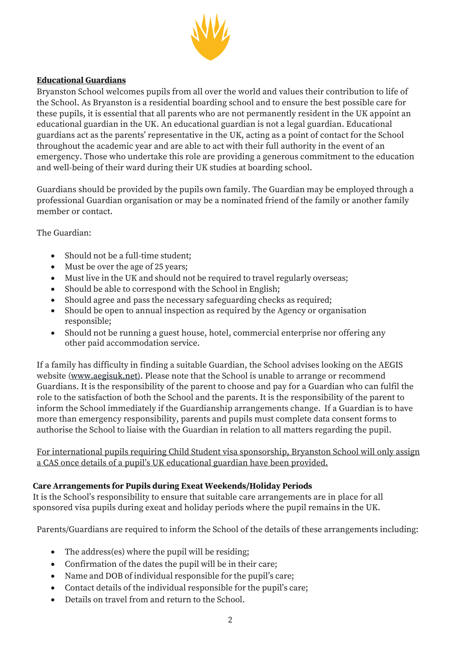

## **Educational Guardians**

Bryanston School welcomes pupils from all over the world and values their contribution to life of the School. As Bryanston is a residential boarding school and to ensure the best possible care for these pupils, it is essential that all parents who are not permanently resident in the UK appoint an educational guardian in the UK. An educational guardian is not a legal guardian. Educational guardians act as the parents' representative in the UK, acting as a point of contact for the School throughout the academic year and are able to act with their full authority in the event of an emergency. Those who undertake this role are providing a generous commitment to the education and well-being of their ward during their UK studies at boarding school.

Guardians should be provided by the pupils own family. The Guardian may be employed through a professional Guardian organisation or may be a nominated friend of the family or another family member or contact.

## The Guardian:

- Should not be a full-time student;
- Must be over the age of 25 years;
- Must live in the UK and should not be required to travel regularly overseas;
- Should be able to correspond with the School in English:
- Should agree and pass the necessary safeguarding checks as required;
- Should be open to annual inspection as required by the Agency or organisation responsible;
- Should not be running a guest house, hotel, commercial enterprise nor offering any other paid accommodation service.

If a family has difficulty in finding a suitable Guardian, the School advises looking on the AEGIS website (www.aegisuk.net). Please note that the School is unable to arrange or recommend Guardians. It is the responsibility of the parent to choose and pay for a Guardian who can fulfil the role to the satisfaction of both the School and the parents. It is the responsibility of the parent to inform the School immediately if the Guardianship arrangements change. If a Guardian is to have more than emergency responsibility, parents and pupils must complete data consent forms to authorise the School to liaise with the Guardian in relation to all matters regarding the pupil.

For international pupils requiring Child Student visa sponsorship, Bryanston School will only assign a CAS once details of a pupil's UK educational guardian have been provided.

#### **Care Arrangements for Pupils during Exeat Weekends/Holiday Periods**

It is the School's responsibility to ensure that suitable care arrangements are in place for all sponsored visa pupils during exeat and holiday periods where the pupil remains in the UK.

Parents/Guardians are required to inform the School of the details of these arrangements including:

- The address(es) where the pupil will be residing;
- Confirmation of the dates the pupil will be in their care;
- Name and DOB of individual responsible for the pupil's care;
- Contact details of the individual responsible for the pupil's care;
- Details on travel from and return to the School.